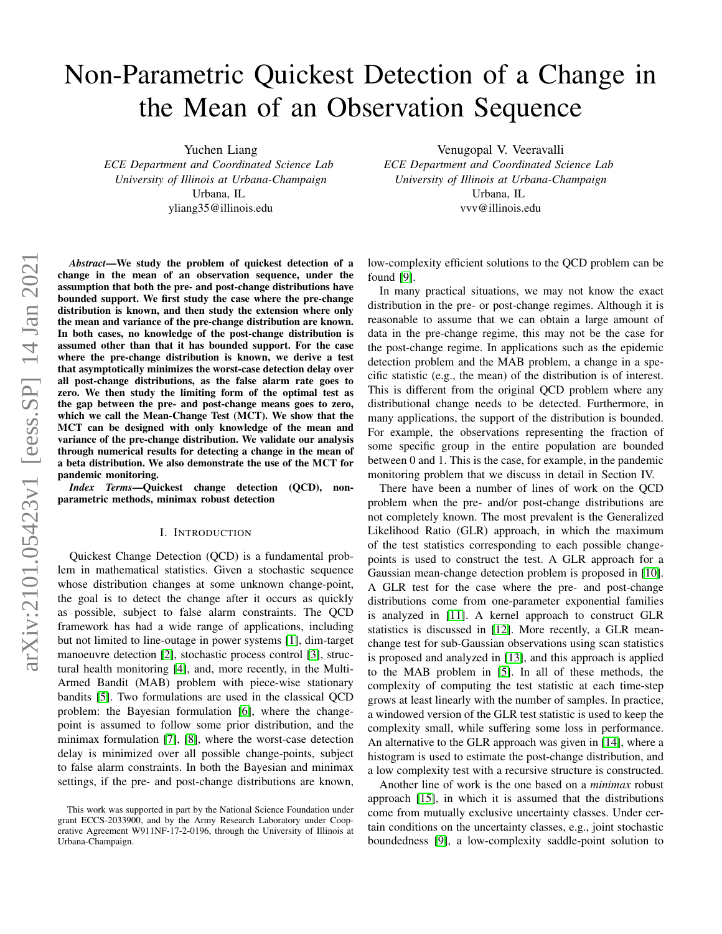# Non-Parametric Quickest Detection of a Change in the Mean of an Observation Sequence

Yuchen Liang

*ECE Department and Coordinated Science Lab University of Illinois at Urbana-Champaign* Urbana, IL yliang35@illinois.edu

arXiv:2101.05423v1 [eess.SP] 14 Jan 2021 arXiv:2101.05423v1 [eess.SP] 14 Jan 2021

*Abstract*—We study the problem of quickest detection of a change in the mean of an observation sequence, under the assumption that both the pre- and post-change distributions have bounded support. We first study the case where the pre-change distribution is known, and then study the extension where only the mean and variance of the pre-change distribution are known. In both cases, no knowledge of the post-change distribution is assumed other than that it has bounded support. For the case where the pre-change distribution is known, we derive a test that asymptotically minimizes the worst-case detection delay over all post-change distributions, as the false alarm rate goes to zero. We then study the limiting form of the optimal test as the gap between the pre- and post-change means goes to zero, which we call the Mean-Change Test (MCT). We show that the MCT can be designed with only knowledge of the mean and variance of the pre-change distribution. We validate our analysis through numerical results for detecting a change in the mean of a beta distribution. We also demonstrate the use of the MCT for pandemic monitoring.

*Index Terms*—Quickest change detection (QCD), nonparametric methods, minimax robust detection

### I. INTRODUCTION

Quickest Change Detection (QCD) is a fundamental problem in mathematical statistics. Given a stochastic sequence whose distribution changes at some unknown change-point, the goal is to detect the change after it occurs as quickly as possible, subject to false alarm constraints. The QCD framework has had a wide range of applications, including but not limited to line-outage in power systems [\[1\]](#page-5-0), dim-target manoeuvre detection [\[2\]](#page-5-1), stochastic process control [\[3\]](#page-5-2), structural health monitoring [\[4\]](#page-5-3), and, more recently, in the Multi-Armed Bandit (MAB) problem with piece-wise stationary bandits [\[5\]](#page-5-4). Two formulations are used in the classical QCD problem: the Bayesian formulation [\[6\]](#page-5-5), where the changepoint is assumed to follow some prior distribution, and the minimax formulation [\[7\]](#page-5-6), [\[8\]](#page-5-7), where the worst-case detection delay is minimized over all possible change-points, subject to false alarm constraints. In both the Bayesian and minimax settings, if the pre- and post-change distributions are known,

Venugopal V. Veeravalli *ECE Department and Coordinated Science Lab University of Illinois at Urbana-Champaign* Urbana, IL

vvv@illinois.edu

low-complexity efficient solutions to the QCD problem can be found [\[9\]](#page-5-8).

In many practical situations, we may not know the exact distribution in the pre- or post-change regimes. Although it is reasonable to assume that we can obtain a large amount of data in the pre-change regime, this may not be the case for the post-change regime. In applications such as the epidemic detection problem and the MAB problem, a change in a specific statistic (e.g., the mean) of the distribution is of interest. This is different from the original QCD problem where any distributional change needs to be detected. Furthermore, in many applications, the support of the distribution is bounded. For example, the observations representing the fraction of some specific group in the entire population are bounded between 0 and 1. This is the case, for example, in the pandemic monitoring problem that we discuss in detail in Section IV.

There have been a number of lines of work on the QCD problem when the pre- and/or post-change distributions are not completely known. The most prevalent is the Generalized Likelihood Ratio (GLR) approach, in which the maximum of the test statistics corresponding to each possible changepoints is used to construct the test. A GLR approach for a Gaussian mean-change detection problem is proposed in [\[10\]](#page-5-9). A GLR test for the case where the pre- and post-change distributions come from one-parameter exponential families is analyzed in [\[11\]](#page-5-10). A kernel approach to construct GLR statistics is discussed in [\[12\]](#page-5-11). More recently, a GLR meanchange test for sub-Gaussian observations using scan statistics is proposed and analyzed in [\[13\]](#page-5-12), and this approach is applied to the MAB problem in [\[5\]](#page-5-4). In all of these methods, the complexity of computing the test statistic at each time-step grows at least linearly with the number of samples. In practice, a windowed version of the GLR test statistic is used to keep the complexity small, while suffering some loss in performance. An alternative to the GLR approach was given in [\[14\]](#page-5-13), where a histogram is used to estimate the post-change distribution, and a low complexity test with a recursive structure is constructed.

Another line of work is the one based on a *minimax* robust approach [\[15\]](#page-5-14), in which it is assumed that the distributions come from mutually exclusive uncertainty classes. Under certain conditions on the uncertainty classes, e.g., joint stochastic boundedness [\[9\]](#page-5-8), a low-complexity saddle-point solution to

This work was supported in part by the National Science Foundation under grant ECCS-2033900, and by the Army Research Laboratory under Cooperative Agreement W911NF-17-2-0196, through the University of Illinois at Urbana-Champaign.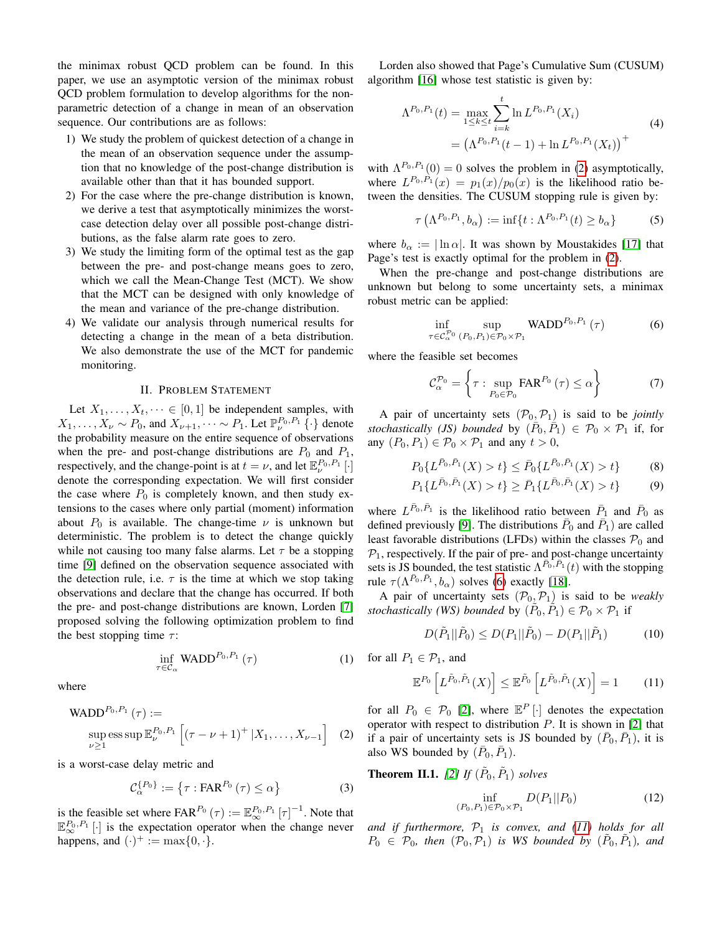the minimax robust QCD problem can be found. In this paper, we use an asymptotic version of the minimax robust QCD problem formulation to develop algorithms for the nonparametric detection of a change in mean of an observation sequence. Our contributions are as follows:

- 1) We study the problem of quickest detection of a change in the mean of an observation sequence under the assumption that no knowledge of the post-change distribution is available other than that it has bounded support.
- 2) For the case where the pre-change distribution is known, we derive a test that asymptotically minimizes the worstcase detection delay over all possible post-change distributions, as the false alarm rate goes to zero.
- 3) We study the limiting form of the optimal test as the gap between the pre- and post-change means goes to zero, which we call the Mean-Change Test (MCT). We show that the MCT can be designed with only knowledge of the mean and variance of the pre-change distribution.
- 4) We validate our analysis through numerical results for detecting a change in the mean of a beta distribution. We also demonstrate the use of the MCT for pandemic monitoring.

# II. PROBLEM STATEMENT

Let  $X_1, \ldots, X_t, \cdots \in [0, 1]$  be independent samples, with  $X_1, \ldots, X_{\nu} \sim P_0$ , and  $X_{\nu+1}, \cdots \sim P_1$ . Let  $\mathbb{P}^{P_0, P_1}_{\nu}$  { $\cdot$ } denote the probability measure on the entire sequence of observations when the pre- and post-change distributions are  $P_0$  and  $P_1$ , respectively, and the change-point is at  $t = \nu$ , and let  $\mathbb{E}_{\nu}^{P_0, P_1}[\cdot]$ denote the corresponding expectation. We will first consider the case where  $P_0$  is completely known, and then study extensions to the cases where only partial (moment) information about  $P_0$  is available. The change-time  $\nu$  is unknown but deterministic. The problem is to detect the change quickly while not causing too many false alarms. Let  $\tau$  be a stopping time [\[9\]](#page-5-8) defined on the observation sequence associated with the detection rule, i.e.  $\tau$  is the time at which we stop taking observations and declare that the change has occurred. If both the pre- and post-change distributions are known, Lorden [\[7\]](#page-5-6) proposed solving the following optimization problem to find the best stopping time  $\tau$ :

$$
\inf_{\tau \in \mathcal{C}_{\alpha}} \text{WADD}^{P_0, P_1}(\tau) \tag{1}
$$

where

WADD<sup>P<sub>0</sub>,P<sub>1</sub></sup> (
$$
\tau
$$
) :=  
\n <sub>$\text{sup}_{\nu \geq 1} \text{ess sup } \mathbb{E}_{\nu}^{P_0,P_1} \left[ (\tau - \nu + 1)^+ | X_1, \dots, X_{\nu-1} \right]$  (2)</sub>

is a worst-case delay metric and

$$
\mathcal{C}_{\alpha}^{\{P_0\}} := \left\{\tau : \text{FAR}^{P_0}\left(\tau\right) \leq \alpha\right\} \tag{3}
$$

is the feasible set where  $FAR^{P_0}(\tau) := \mathbb{E}_{\infty}^{P_0, P_1} [\tau]^{-1}$ . Note that  $\mathbb{E}_{\infty}^{P_0, P_1}$  [·] is the expectation operator when the change never happens, and  $(\cdot)^+ := \max\{0, \cdot\}.$ 

Lorden also showed that Page's Cumulative Sum (CUSUM) algorithm [\[16\]](#page-5-15) whose test statistic is given by:

<span id="page-1-5"></span>
$$
\Lambda^{P_0, P_1}(t) = \max_{1 \le k \le t} \sum_{i=k}^t \ln L^{P_0, P_1}(X_i)
$$
  
= 
$$
(\Lambda^{P_0, P_1}(t-1) + \ln L^{P_0, P_1}(X_t))^+
$$
 (4)

with  $\Lambda^{P_0, P_1}(0) = 0$  solves the problem in [\(2\)](#page-1-0) asymptotically, where  $L^{P_0,P_1}(x) = p_1(x)/p_0(x)$  is the likelihood ratio between the densities. The CUSUM stopping rule is given by:

$$
\tau\left(\Lambda^{P_0,P_1},b_{\alpha}\right) := \inf\{t:\Lambda^{P_0,P_1}(t) \ge b_{\alpha}\}\tag{5}
$$

where  $b_{\alpha} := |\ln \alpha|$ . It was shown by Moustakides [\[17\]](#page-5-16) that Page's test is exactly optimal for the problem in [\(2\)](#page-1-0).

When the pre-change and post-change distributions are unknown but belong to some uncertainty sets, a minimax robust metric can be applied:

<span id="page-1-1"></span>
$$
\inf_{\tau \in \mathcal{C}_{\alpha}^{\mathcal{P}_0}} \sup_{(P_0, P_1) \in \mathcal{P}_0 \times \mathcal{P}_1} \text{WADD}^{P_0, P_1}(\tau) \tag{6}
$$

where the feasible set becomes

<span id="page-1-4"></span>
$$
\mathcal{C}_{\alpha}^{\mathcal{P}_0} = \left\{ \tau : \sup_{P_0 \in \mathcal{P}_0} \text{FAR}^{P_0} \left( \tau \right) \le \alpha \right\} \tag{7}
$$

A pair of uncertainty sets  $(\mathcal{P}_0, \mathcal{P}_1)$  is said to be *jointly stochastically (JS) bounded* by  $(\overline{P}_0, \overline{P}_1) \in \mathcal{P}_0 \times \mathcal{P}_1$  if, for any  $(P_0, P_1) \in \mathcal{P}_0 \times \mathcal{P}_1$  and any  $t > 0$ ,

$$
P_0\{L^{\bar{P}_0,\bar{P}_1}(X)>t\} \le \bar{P}_0\{L^{\bar{P}_0,\bar{P}_1}(X)>t\}
$$
 (8)

$$
P_1\{L^{\bar{P}_0,\bar{P}_1}(X)>t\}\geq \bar{P}_1\{L^{\bar{P}_0,\bar{P}_1}(X)>t\}
$$
(9)

where  $L^{\bar{P}_0, \bar{P}_1}$  is the likelihood ratio between  $\bar{P}_1$  and  $\bar{P}_0$  as defined previously [\[9\]](#page-5-8). The distributions  $\bar{P}_0$  and  $\bar{P}_1$ ) are called least favorable distributions (LFDs) within the classes  $P_0$  and  $P_1$ , respectively. If the pair of pre- and post-change uncertainty sets is JS bounded, the test statistic  $\Lambda^{\bar{P}_0, \bar{P}_1}(t)$  with the stopping rule  $\tau(\Lambda^{\bar{P}_0, \bar{P}_1}, b_\alpha)$  solves [\(6\)](#page-1-1) exactly [\[18\]](#page-5-17).

A pair of uncertainty sets  $(\mathcal{P}_0, \mathcal{P}_1)$  is said to be *weakly stochastically (WS) bounded* by  $(\tilde{P}_0, \tilde{P}_1) \in \mathcal{P}_0 \times \mathcal{P}_1$  if

$$
D(\tilde{P}_1||\tilde{P}_0) \le D(P_1||\tilde{P}_0) - D(P_1||\tilde{P}_1)
$$
 (10)

for all  $P_1 \in \mathcal{P}_1$ , and

<span id="page-1-2"></span>
$$
\mathbb{E}^{P_0}\left[L^{\tilde{P}_0,\tilde{P}_1}(X)\right] \leq \mathbb{E}^{\tilde{P}_0}\left[L^{\tilde{P}_0,\tilde{P}_1}(X)\right] = 1\tag{11}
$$

<span id="page-1-0"></span>for all  $P_0 \in \mathcal{P}_0$  [\[2\]](#page-5-1), where  $\mathbb{E}^P[\cdot]$  denotes the expectation operator with respect to distribution  $P$ . It is shown in [\[2\]](#page-5-1) that if a pair of uncertainty sets is JS bounded by  $(\bar{P}_0, \bar{P}_1)$ , it is also WS bounded by  $(\bar{P}_0, \bar{P}_1)$ .

<span id="page-1-3"></span>**Theorem II.1.** [\[2\]](#page-5-1) If  $(\tilde{P}_0, \tilde{P}_1)$  solves

$$
\inf_{(P_0, P_1) \in \mathcal{P}_0 \times \mathcal{P}_1} D(P_1 || P_0) \tag{12}
$$

and if furthermore,  $P_1$  is convex, and [\(11\)](#page-1-2) holds for all  $P_0 \in \mathcal{P}_0$ , then  $(\mathcal{P}_0, \mathcal{P}_1)$  *is WS bounded by*  $(\tilde{P}_0, \tilde{P}_1)$ *, and*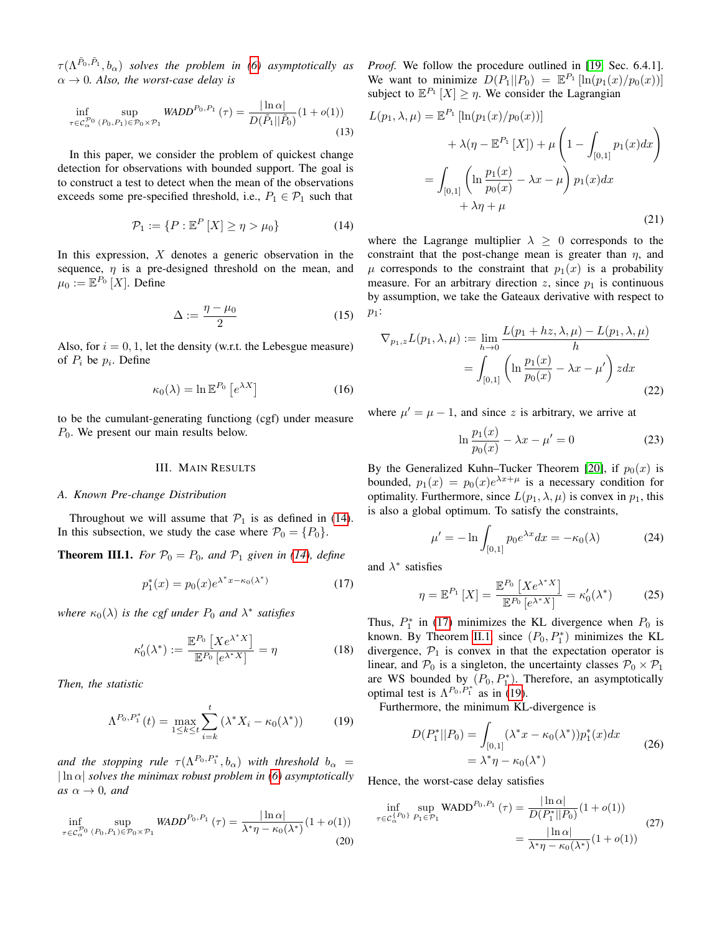$\tau(\Lambda^{\tilde{P}_0,\tilde{P}_1},b_{\alpha})$  solves the problem in [\(6\)](#page-1-1) asymptotically as  $\alpha \rightarrow 0$ *. Also, the worst-case delay is* 

$$
\inf_{\tau \in C_{\alpha}^{\mathcal{P}_0} (P_0, P_1) \in \mathcal{P}_0 \times \mathcal{P}_1} \text{WADD}^{P_0, P_1}(\tau) = \frac{|\ln \alpha|}{D(\tilde{P}_1 || \tilde{P}_0)} (1 + o(1)) \tag{13}
$$

In this paper, we consider the problem of quickest change detection for observations with bounded support. The goal is to construct a test to detect when the mean of the observations exceeds some pre-specified threshold, i.e.,  $P_1 \in \mathcal{P}_1$  such that

<span id="page-2-0"></span>
$$
\mathcal{P}_1 := \{ P : \mathbb{E}^P \left[ X \right] \ge \eta > \mu_0 \} \tag{14}
$$

In this expression,  $X$  denotes a generic observation in the sequence,  $\eta$  is a pre-designed threshold on the mean, and  $\mu_0 := \mathbb{E}^{P_0} [X]$ . Define

$$
\Delta := \frac{\eta - \mu_0}{2} \tag{15}
$$

Also, for  $i = 0, 1$ , let the density (w.r.t. the Lebesgue measure) of  $P_i$  be  $p_i$ . Define

$$
\kappa_0(\lambda) = \ln \mathbb{E}^{P_0} \left[ e^{\lambda X} \right] \tag{16}
$$

to be the cumulant-generating functiong (cgf) under measure  $P_0$ . We present our main results below.

## III. MAIN RESULTS

#### *A. Known Pre-change Distribution*

Throughout we will assume that  $\mathcal{P}_1$  is as defined in [\(14\)](#page-2-0). In this subsection, we study the case where  $\mathcal{P}_0 = \{P_0\}.$ 

**Theorem III.1.** *For*  $P_0 = P_0$ *, and*  $P_1$  *given in [\(14\)](#page-2-0), define* 

<span id="page-2-1"></span>
$$
p_1^*(x) = p_0(x)e^{\lambda^* x - \kappa_0(\lambda^*)}
$$
 (17)

where  $\kappa_0(\lambda)$  *is the cgf under*  $P_0$  *and*  $\lambda^*$  *satisfies* 

$$
\kappa'_{0}(\lambda^{*}) := \frac{\mathbb{E}^{P_{0}}\left[Xe^{\lambda^{*}X}\right]}{\mathbb{E}^{P_{0}}\left[e^{\lambda^{*}X}\right]} = \eta
$$
\n(18)

*Then, the statistic*

<span id="page-2-2"></span>
$$
\Lambda^{P_0, P_1^*}(t) = \max_{1 \le k \le t} \sum_{i=k}^t (\lambda^* X_i - \kappa_0(\lambda^*))
$$
 (19)

*and the stopping rule*  $\tau(\Lambda^{P_0,P_1^*},b_\alpha)$  *with threshold*  $b_\alpha =$  $|\ln \alpha|$  *solves the minimax robust problem in* [\(6\)](#page-1-1) *asymptotically as*  $\alpha \rightarrow 0$ *, and* 

$$
\inf_{\tau \in \mathcal{C}_{\alpha}^{P_0} (P_0, P_1) \in \mathcal{P}_0 \times \mathcal{P}_1} \text{WADD}^{P_0, P_1}(\tau) = \frac{|\ln \alpha|}{\lambda^* \eta - \kappa_0(\lambda^*)} (1 + o(1)) \tag{20}
$$

*Proof.* We follow the procedure outlined in [\[19,](#page-5-18) Sec. 6.4.1]. We want to minimize  $D(P_1||P_0) = \mathbb{E}^{P_1} [\ln(p_1(x)/p_0(x))]$ subject to  $\mathbb{E}^{P_1}[X] \geq \eta$ . We consider the Lagrangian

$$
L(p_1, \lambda, \mu) = \mathbb{E}^{P_1} [\ln(p_1(x)/p_0(x))]
$$
  
+  $\lambda(\eta - \mathbb{E}^{P_1} [X]) + \mu \left(1 - \int_{[0,1]} p_1(x) dx\right)$   
=  $\int_{[0,1]} \left( \ln \frac{p_1(x)}{p_0(x)} - \lambda x - \mu \right) p_1(x) dx$   
+  $\lambda \eta + \mu$  (21)

where the Lagrange multiplier  $\lambda \geq 0$  corresponds to the constraint that the post-change mean is greater than  $\eta$ , and  $\mu$  corresponds to the constraint that  $p_1(x)$  is a probability measure. For an arbitrary direction z, since  $p_1$  is continuous by assumption, we take the Gateaux derivative with respect to  $p_1$ :

$$
\nabla_{p_1,z} L(p_1, \lambda, \mu) := \lim_{h \to 0} \frac{L(p_1 + hz, \lambda, \mu) - L(p_1, \lambda, \mu)}{h}
$$

$$
= \int_{[0,1]} \left( \ln \frac{p_1(x)}{p_0(x)} - \lambda x - \mu' \right) z dx \tag{22}
$$

where  $\mu' = \mu - 1$ , and since z is arbitrary, we arrive at

$$
\ln \frac{p_1(x)}{p_0(x)} - \lambda x - \mu' = 0
$$
 (23)

By the Generalized Kuhn–Tucker Theorem [\[20\]](#page-5-19), if  $p_0(x)$  is bounded,  $p_1(x) = p_0(x)e^{\lambda x + \mu}$  is a necessary condition for optimality. Furthermore, since  $L(p_1, \lambda, \mu)$  is convex in  $p_1$ , this is also a global optimum. To satisfy the constraints,

$$
\mu' = -\ln \int_{[0,1]} p_0 e^{\lambda x} dx = -\kappa_0(\lambda) \tag{24}
$$

and  $\lambda^*$  satisfies

$$
\eta = \mathbb{E}^{P_1} [X] = \frac{\mathbb{E}^{P_0} [X e^{\lambda^* X}]}{\mathbb{E}^{P_0} [e^{\lambda^* X}]} = \kappa'_0(\lambda^*)
$$
(25)

Thus,  $P_1^*$  in [\(17\)](#page-2-1) minimizes the KL divergence when  $P_0$  is known. By Theorem [II.1,](#page-1-3) since  $(P_0, P_1^*)$  minimizes the KL divergence,  $P_1$  is convex in that the expectation operator is linear, and  $P_0$  is a singleton, the uncertainty classes  $P_0 \times P_1$ are WS bounded by  $(P_0, P_1^*)$ . Therefore, an asymptotically optimal test is  $\Lambda^{P_0, \overline{P_1^*}}$  as in [\(19\)](#page-2-2).

Furthermore, the minimum KL-divergence is

$$
D(P_1^*||P_0) = \int_{[0,1]} (\lambda^* x - \kappa_0(\lambda^*)) p_1^*(x) dx
$$
  
=  $\lambda^* \eta - \kappa_0(\lambda^*)$  (26)

Hence, the worst-case delay satisfies

$$
\inf_{\tau \in C_{\alpha}^{\{P_0\}}}\sup_{P_1 \in \mathcal{P}_1} \text{WADD}^{P_0, P_1}(\tau) = \frac{|\ln \alpha|}{D(P_1^*||P_0)}(1 + o(1))
$$
\n
$$
= \frac{|\ln \alpha|}{\lambda^* \eta - \kappa_0(\lambda^*)}(1 + o(1))
$$
\n(27)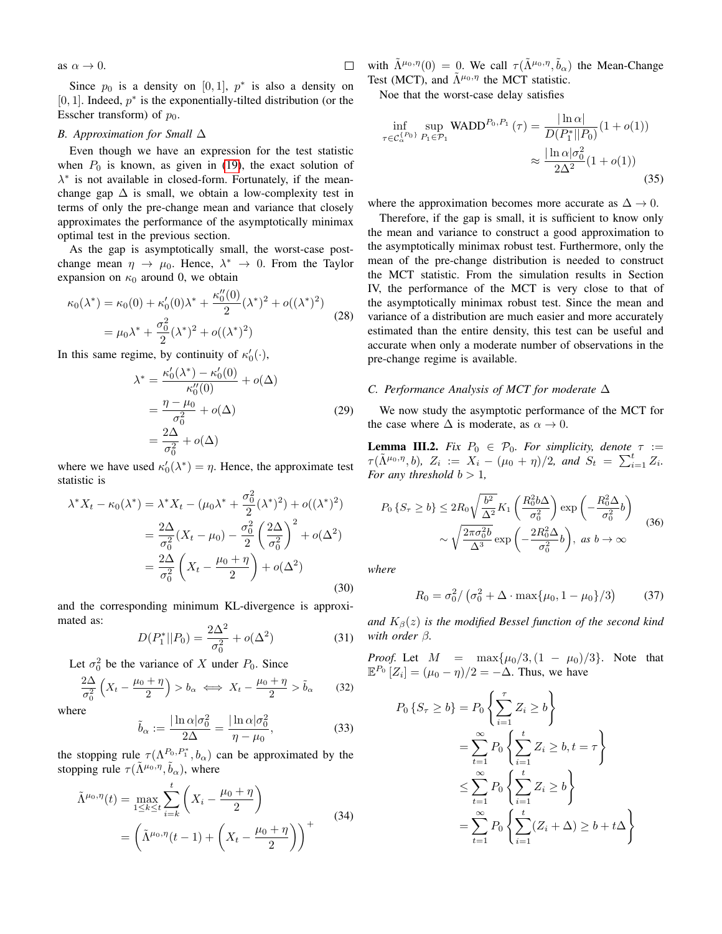as  $\alpha \to 0$ .

Since  $p_0$  is a density on [0, 1],  $p^*$  is also a density on [0, 1]. Indeed,  $p^*$  is the exponentially-tilted distribution (or the Esscher transform) of  $p_0$ .

## *B. Approximation for Small* ∆

Even though we have an expression for the test statistic when  $P_0$  is known, as given in [\(19\)](#page-2-2), the exact solution of  $\lambda^*$  is not available in closed-form. Fortunately, if the meanchange gap  $\Delta$  is small, we obtain a low-complexity test in terms of only the pre-change mean and variance that closely approximates the performance of the asymptotically minimax optimal test in the previous section.

As the gap is asymptotically small, the worst-case postchange mean  $\eta \to \mu_0$ . Hence,  $\lambda^* \to 0$ . From the Taylor expansion on  $\kappa_0$  around 0, we obtain

$$
\kappa_0(\lambda^*) = \kappa_0(0) + \kappa'_0(0)\lambda^* + \frac{\kappa''_0(0)}{2}(\lambda^*)^2 + o((\lambda^*)^2)
$$
  
=  $\mu_0\lambda^* + \frac{\sigma_0^2}{2}(\lambda^*)^2 + o((\lambda^*)^2)$  (28)

In this same regime, by continuity of  $\kappa'_0(\cdot)$ ,

$$
\lambda^* = \frac{\kappa'_0(\lambda^*) - \kappa'_0(0)}{\kappa''_0(0)} + o(\Delta)
$$

$$
= \frac{\eta - \mu_0}{\sigma_0^2} + o(\Delta)
$$

$$
= \frac{2\Delta}{\sigma_0^2} + o(\Delta)
$$
(29)

where we have used  $\kappa'_0(\lambda^*) = \eta$ . Hence, the approximate test statistic is

$$
\lambda^* X_t - \kappa_0(\lambda^*) = \lambda^* X_t - (\mu_0 \lambda^* + \frac{\sigma_0^2}{2} (\lambda^*)^2) + o((\lambda^*)^2)
$$
  
=  $\frac{2\Delta}{\sigma_0^2} (X_t - \mu_0) - \frac{\sigma_0^2}{2} \left(\frac{2\Delta}{\sigma_0^2}\right)^2 + o(\Delta^2)$   
=  $\frac{2\Delta}{\sigma_0^2} \left(X_t - \frac{\mu_0 + \eta}{2}\right) + o(\Delta^2)$  (30)

and the corresponding minimum KL-divergence is approximated as:

$$
D(P_1^*||P_0) = \frac{2\Delta^2}{\sigma_0^2} + o(\Delta^2)
$$
 (31)

Let  $\sigma_0^2$  be the variance of X under  $P_0$ . Since

$$
\frac{2\Delta}{\sigma_0^2} \left( X_t - \frac{\mu_0 + \eta}{2} \right) > b_\alpha \iff X_t - \frac{\mu_0 + \eta}{2} > \tilde{b}_\alpha \tag{32}
$$

where

<span id="page-3-4"></span>
$$
\tilde{b}_{\alpha} := \frac{|\ln \alpha| \sigma_0^2}{2\Delta} = \frac{|\ln \alpha| \sigma_0^2}{\eta - \mu_0},\tag{33}
$$

the stopping rule  $\tau(\Lambda^{P_0,P_1^*},b_\alpha)$  can be approximated by the stopping rule  $\tau(\tilde{\Lambda}^{\mu_0,\eta}, \tilde{b}_{\alpha})$ , where

<span id="page-3-3"></span>
$$
\tilde{\Lambda}^{\mu_0, \eta}(t) = \max_{1 \le k \le t} \sum_{i=k}^{t} \left( X_i - \frac{\mu_0 + \eta}{2} \right)
$$
\n
$$
= \left( \tilde{\Lambda}^{\mu_0, \eta}(t-1) + \left( X_t - \frac{\mu_0 + \eta}{2} \right) \right)^{+}
$$
\n(34)

with  $\tilde{\Lambda}^{\mu_0,\eta}(0) = 0$ . We call  $\tau(\tilde{\Lambda}^{\mu_0,\eta}, \tilde{b}_{\alpha})$  the Mean-Change Test (MCT), and  $\tilde{\Lambda}^{\mu_0, \eta}$  the MCT statistic.

Noe that the worst-case delay satisfies

 $\Box$ 

<span id="page-3-2"></span>
$$
\inf_{\tau \in C_{\alpha}^{\{P_0\}}}\sup_{P_1 \in \mathcal{P}_1} \text{WADD}^{P_0, P_1}(\tau) = \frac{|\ln \alpha|}{D(P_1^*||P_0)}(1 + o(1))
$$

$$
\approx \frac{|\ln \alpha|\sigma_0^2}{2\Delta^2}(1 + o(1))
$$
(35)

where the approximation becomes more accurate as  $\Delta \to 0$ .

Therefore, if the gap is small, it is sufficient to know only the mean and variance to construct a good approximation to the asymptotically minimax robust test. Furthermore, only the mean of the pre-change distribution is needed to construct the MCT statistic. From the simulation results in Section IV, the performance of the MCT is very close to that of the asymptotically minimax robust test. Since the mean and variance of a distribution are much easier and more accurately estimated than the entire density, this test can be useful and accurate when only a moderate number of observations in the pre-change regime is available.

# *C. Performance Analysis of MCT for moderate* ∆

We now study the asymptotic performance of the MCT for the case where  $\Delta$  is moderate, as  $\alpha \to 0$ .

**Lemma III.2.** *Fix*  $P_0 \in \mathcal{P}_0$ *. For simplicity, denote*  $\tau :=$  $\tau(\tilde{\Lambda}^{\mu_0,\eta},b), Z_i := X_i - (\mu_0 + \eta)/2, \text{ and } S_t = \sum_{i=1}^t Z_i.$ *For any threshold*  $b > 1$ *,* 

<span id="page-3-1"></span>
$$
P_0 \left\{ S_\tau \ge b \right\} \le 2R_0 \sqrt{\frac{b^2}{\Delta^2}} K_1 \left( \frac{R_0^2 b \Delta}{\sigma_0^2} \right) \exp \left( -\frac{R_0^2 \Delta}{\sigma_0^2} b \right)
$$

$$
\sim \sqrt{\frac{2\pi \sigma_0^2 b}{\Delta^3}} \exp \left( -\frac{2R_0^2 \Delta}{\sigma_0^2} b \right), \text{ as } b \to \infty
$$
(36)

*where*

<span id="page-3-0"></span>
$$
R_0 = \sigma_0^2 / (\sigma_0^2 + \Delta \cdot \max\{\mu_0, 1 - \mu_0\}/3)
$$
 (37)

*and*  $K_\beta(z)$  *is the modified Bessel function of the second kind with order* β*.*

*Proof.* Let  $M = \max{\mu_0/3, (1 - \mu_0)/3}$ . Note that  $\mathbb{E}^{P_0}[Z_i] = (\mu_0 - \eta)/2 = -\Delta$ . Thus, we have

$$
P_0 \{ S_\tau \ge b \} = P_0 \left\{ \sum_{i=1}^\tau Z_i \ge b \right\}
$$
  
= 
$$
\sum_{t=1}^\infty P_0 \left\{ \sum_{i=1}^t Z_i \ge b, t = \tau \right\}
$$
  

$$
\le \sum_{t=1}^\infty P_0 \left\{ \sum_{i=1}^t Z_i \ge b \right\}
$$
  
= 
$$
\sum_{t=1}^\infty P_0 \left\{ \sum_{i=1}^t (Z_i + \Delta) \ge b + t\Delta \right\}
$$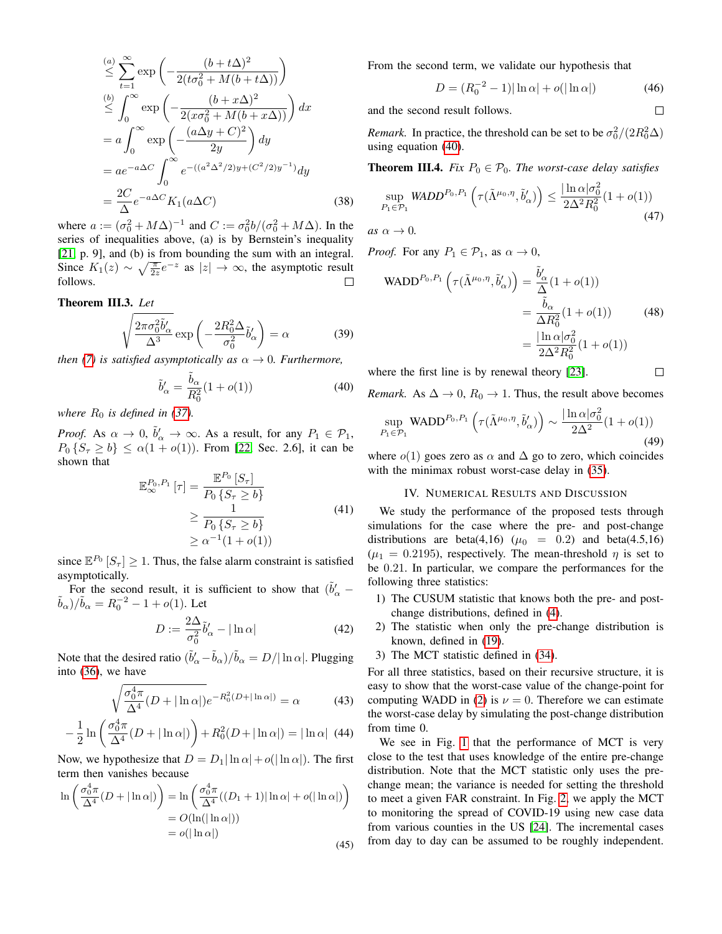$$
\stackrel{(a)}{\leq} \sum_{t=1}^{\infty} \exp\left(-\frac{(b+t\Delta)^2}{2(t\sigma_0^2 + M(b+t\Delta))}\right)
$$
\n
$$
\stackrel{(b)}{\leq} \int_0^{\infty} \exp\left(-\frac{(b+x\Delta)^2}{2(x\sigma_0^2 + M(b+x\Delta))}\right) dx
$$
\n
$$
= a \int_0^{\infty} \exp\left(-\frac{(a\Delta y + C)^2}{2y}\right) dy
$$
\n
$$
= a e^{-a\Delta C} \int_0^{\infty} e^{-((a^2\Delta^2/2)y + (C^2/2)y^{-1})} dy
$$
\n
$$
= \frac{2C}{\Delta} e^{-a\Delta C} K_1(a\Delta C) \tag{38}
$$

where  $a := (\sigma_0^2 + M\Delta)^{-1}$  and  $C := \sigma_0^2 b / (\sigma_0^2 + M\Delta)$ . In the series of inequalities above, (a) is by Bernstein's inequality [\[21,](#page-5-20) p. 9], and (b) is from bounding the sum with an integral. Since  $K_1(z) \sim \sqrt{\frac{\pi}{2z}} e^{-z}$  as  $|z| \to \infty$ , the asymptotic result follows.

# Theorem III.3. *Let*

$$
\sqrt{\frac{2\pi\sigma_0^2\tilde{b}'_{\alpha}}{\Delta^3}}\exp\left(-\frac{2R_0^2\Delta}{\sigma_0^2}\tilde{b}'_{\alpha}\right) = \alpha\tag{39}
$$

*then* [\(7\)](#page-1-4) *is satisfied asymptotically as*  $\alpha \rightarrow 0$ *. Furthermore,* 

<span id="page-4-0"></span>
$$
\tilde{b}'_{\alpha} = \frac{\tilde{b}_{\alpha}}{R_0^2} (1 + o(1))
$$
\n(40)

*where*  $R_0$  *is defined in [\(37\)](#page-3-0).* 

*Proof.* As  $\alpha \to 0$ ,  $\tilde{b}'_{\alpha} \to \infty$ . As a result, for any  $P_1 \in \mathcal{P}_1$ ,  $P_0 \{S_\tau \geq b\} \leq \alpha(1 + o(1))$ . From [\[22,](#page-5-21) Sec. 2.6], it can be shown that

$$
\mathbb{E}_{\infty}^{P_0, P_1} [\tau] = \frac{\mathbb{E}^{P_0} [S_{\tau}]}{P_0 \{S_{\tau} \ge b\}}\n\n\ge \frac{1}{P_0 \{S_{\tau} \ge b\}}\n\n\ge \alpha^{-1} (1 + o(1))
$$
\n(41)

since  $\mathbb{E}^{P_0}[S_\tau] \geq 1$ . Thus, the false alarm constraint is satisfied asymptotically.

For the second result, it is sufficient to show that  $(\tilde{b}'_\alpha$  –  $(\tilde{b}_{\alpha})/\tilde{b}_{\alpha} = R_0^{-2} - 1 + o(1)$ . Let

$$
D := \frac{2\Delta}{\sigma_0^2} \tilde{b}'_{\alpha} - |\ln \alpha| \tag{42}
$$

Note that the desired ratio  $(\tilde{b}'_{\alpha} - \tilde{b}_{\alpha})/\tilde{b}_{\alpha} = D/|\ln \alpha|$ . Plugging into [\(36\)](#page-3-1), we have

$$
\sqrt{\frac{\sigma_0^4 \pi}{\Delta^4} (D + |\ln \alpha|)} e^{-R_0^2 (D + |\ln \alpha|)} = \alpha \tag{43}
$$

$$
-\frac{1}{2}\ln\left(\frac{\sigma_0^4 \pi}{\Delta^4}(D+|\ln \alpha|)\right) + R_0^2(D+|\ln \alpha|) = |\ln \alpha| \quad (44)
$$

Now, we hypothesize that  $D = D_1 |\ln \alpha| + o(|\ln \alpha|)$ . The first term then vanishes because

$$
\ln\left(\frac{\sigma_0^4 \pi}{\Delta^4} (D + |\ln \alpha|)\right) = \ln\left(\frac{\sigma_0^4 \pi}{\Delta^4} ((D_1 + 1)|\ln \alpha| + o(|\ln \alpha|)\right)
$$

$$
= O(\ln(|\ln \alpha|))
$$

$$
= o(|\ln \alpha|)
$$
(45)

From the second term, we validate our hypothesis that

$$
D = (R_0^{-2} - 1)|\ln \alpha| + o(|\ln \alpha|)
$$
 (46)

 $\Box$ 

 $\Box$ 

and the second result follows.

*Remark.* In practice, the threshold can be set to be  $\sigma_0^2/(2R_0^2\Delta)$ using equation [\(40\)](#page-4-0).

**Theorem III.4.** *Fix*  $P_0 \in \mathcal{P}_0$ *. The worst-case delay satisfies* 

$$
\sup_{P_1 \in \mathcal{P}_1} \text{WADD}^{P_0, P_1} \left( \tau(\tilde{\Lambda}^{\mu_0, \eta}, \tilde{b}'_{\alpha}) \right) \le \frac{|\ln \alpha| \sigma_0^2}{2\Delta^2 R_0^2} (1 + o(1)) \tag{47}
$$

*as*  $\alpha \rightarrow 0$ .

*Proof.* For any  $P_1 \in \mathcal{P}_1$ , as  $\alpha \to 0$ ,

WADD<sup>P<sub>0</sub>,P<sub>1</sub></sup> 
$$
\left(\tau(\tilde{\Lambda}^{\mu_0,\eta}, \tilde{b}'_{\alpha})\right) = \frac{\tilde{b}'_{\alpha}}{\Delta}(1 + o(1))
$$
  

$$
= \frac{\tilde{b}_{\alpha}}{\Delta R_0^2}(1 + o(1))
$$
(48)
$$
= \frac{|\ln \alpha|\sigma_0^2}{2\Delta^2 R_0^2}(1 + o(1))
$$

where the first line is by renewal theory [\[23\]](#page-5-22).

*Remark.* As  $\Delta \rightarrow 0$ ,  $R_0 \rightarrow 1$ . Thus, the result above becomes

$$
\sup_{P_1 \in \mathcal{P}_1} \text{WADD}^{P_0, P_1} \left( \tau(\tilde{\Lambda}^{\mu_0, \eta}, \tilde{b}'_{\alpha}) \right) \sim \frac{|\ln \alpha| \sigma_0^2}{2\Delta^2} (1 + o(1)) \tag{49}
$$

where  $o(1)$  goes zero as  $\alpha$  and  $\Delta$  go to zero, which coincides with the minimax robust worst-case delay in  $(35)$ .

# IV. NUMERICAL RESULTS AND DISCUSSION

We study the performance of the proposed tests through simulations for the case where the pre- and post-change distributions are beta(4,16) ( $\mu_0$  = 0.2) and beta(4.5,16)  $(\mu_1 = 0.2195)$ , respectively. The mean-threshold  $\eta$  is set to be 0.21. In particular, we compare the performances for the following three statistics:

- 1) The CUSUM statistic that knows both the pre- and postchange distributions, defined in [\(4\)](#page-1-5).
- 2) The statistic when only the pre-change distribution is known, defined in [\(19\)](#page-2-2).
- 3) The MCT statistic defined in [\(34\)](#page-3-3).

For all three statistics, based on their recursive structure, it is easy to show that the worst-case value of the change-point for computing WADD in [\(2\)](#page-1-0) is  $\nu = 0$ . Therefore we can estimate the worst-case delay by simulating the post-change distribution from time 0.

We see in Fig. [1](#page-5-23) that the performance of MCT is very close to the test that uses knowledge of the entire pre-change distribution. Note that the MCT statistic only uses the prechange mean; the variance is needed for setting the threshold to meet a given FAR constraint. In Fig. [2,](#page-5-24) we apply the MCT to monitoring the spread of COVID-19 using new case data from various counties in the US [\[24\]](#page-5-25). The incremental cases from day to day can be assumed to be roughly independent.